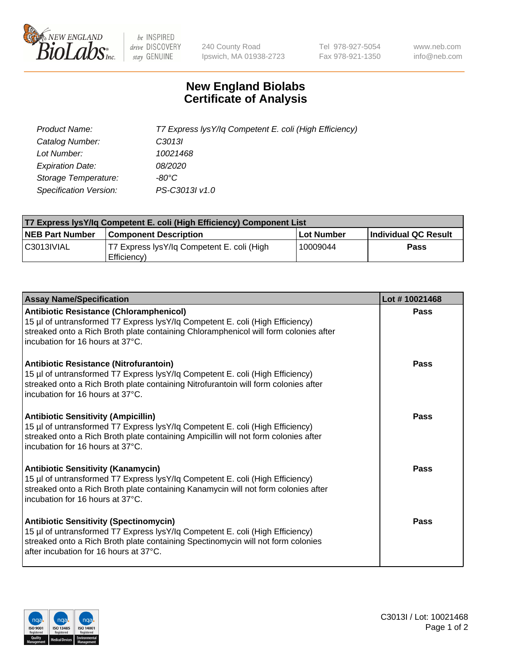

 $be$  INSPIRED drive DISCOVERY stay GENUINE

240 County Road Ipswich, MA 01938-2723 Tel 978-927-5054 Fax 978-921-1350 www.neb.com info@neb.com

## **New England Biolabs Certificate of Analysis**

| Product Name:           | T7 Express lysY/lq Competent E. coli (High Efficiency) |
|-------------------------|--------------------------------------------------------|
| Catalog Number:         | C <sub>3013</sub>                                      |
| Lot Number:             | 10021468                                               |
| <b>Expiration Date:</b> | <i>08/2020</i>                                         |
| Storage Temperature:    | -80°C                                                  |
| Specification Version:  | PS-C3013I v1.0                                         |

| T7 Express lysY/lq Competent E. coli (High Efficiency) Component List |                                                           |            |                      |  |
|-----------------------------------------------------------------------|-----------------------------------------------------------|------------|----------------------|--|
| <b>NEB Part Number</b>                                                | <b>Component Description</b>                              | Lot Number | Individual QC Result |  |
| C3013IVIAL                                                            | T7 Express lysY/lg Competent E. coli (High<br>Efficiency) | 10009044   | <b>Pass</b>          |  |

| <b>Assay Name/Specification</b>                                                                                                                                                                                                                              | Lot #10021468 |
|--------------------------------------------------------------------------------------------------------------------------------------------------------------------------------------------------------------------------------------------------------------|---------------|
| <b>Antibiotic Resistance (Chloramphenicol)</b><br>15 µl of untransformed T7 Express lysY/lq Competent E. coli (High Efficiency)<br>streaked onto a Rich Broth plate containing Chloramphenicol will form colonies after<br>incubation for 16 hours at 37°C.  | Pass          |
| <b>Antibiotic Resistance (Nitrofurantoin)</b><br>15 µl of untransformed T7 Express lysY/lq Competent E. coli (High Efficiency)<br>streaked onto a Rich Broth plate containing Nitrofurantoin will form colonies after<br>incubation for 16 hours at 37°C.    | Pass          |
| <b>Antibiotic Sensitivity (Ampicillin)</b><br>15 µl of untransformed T7 Express lysY/lq Competent E. coli (High Efficiency)<br>streaked onto a Rich Broth plate containing Ampicillin will not form colonies after<br>incubation for 16 hours at 37°C.       | Pass          |
| <b>Antibiotic Sensitivity (Kanamycin)</b><br>15 µl of untransformed T7 Express lysY/lq Competent E. coli (High Efficiency)<br>streaked onto a Rich Broth plate containing Kanamycin will not form colonies after<br>incubation for 16 hours at 37°C.         | Pass          |
| <b>Antibiotic Sensitivity (Spectinomycin)</b><br>15 µl of untransformed T7 Express lysY/lq Competent E. coli (High Efficiency)<br>streaked onto a Rich Broth plate containing Spectinomycin will not form colonies<br>after incubation for 16 hours at 37°C. | Pass          |